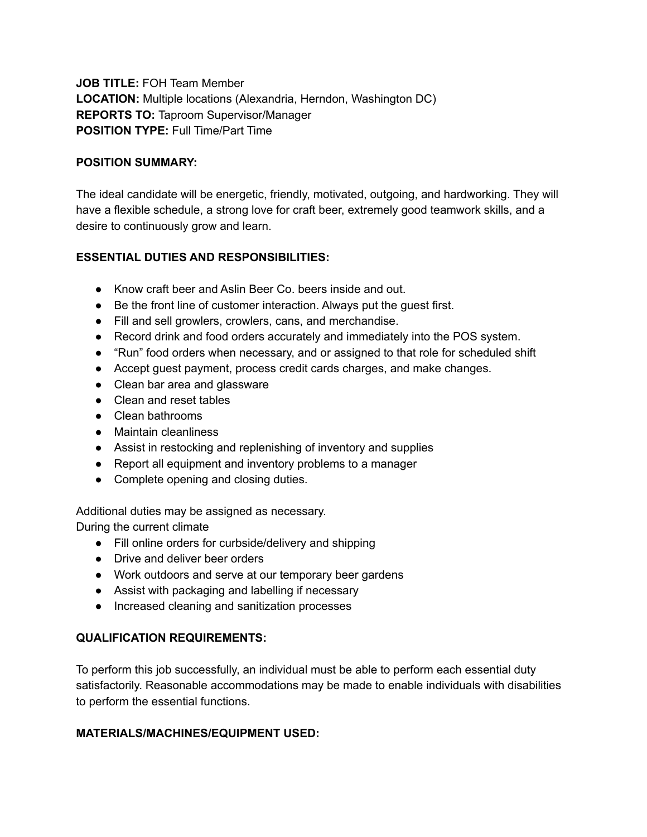**JOB TITLE:** FOH Team Member **LOCATION:** Multiple locations (Alexandria, Herndon, Washington DC) **REPORTS TO:** Taproom Supervisor/Manager **POSITION TYPE:** Full Time/Part Time

#### **POSITION SUMMARY:**

The ideal candidate will be energetic, friendly, motivated, outgoing, and hardworking. They will have a flexible schedule, a strong love for craft beer, extremely good teamwork skills, and a desire to continuously grow and learn.

# **ESSENTIAL DUTIES AND RESPONSIBILITIES:**

- Know craft beer and Aslin Beer Co. beers inside and out.
- Be the front line of customer interaction. Always put the guest first.
- Fill and sell growlers, crowlers, cans, and merchandise.
- Record drink and food orders accurately and immediately into the POS system.
- "Run" food orders when necessary, and or assigned to that role for scheduled shift
- Accept guest payment, process credit cards charges, and make changes.
- Clean bar area and glassware
- Clean and reset tables
- Clean bathrooms
- Maintain cleanliness
- Assist in restocking and replenishing of inventory and supplies
- Report all equipment and inventory problems to a manager
- Complete opening and closing duties.

Additional duties may be assigned as necessary.

During the current climate

- Fill online orders for curbside/delivery and shipping
- Drive and deliver beer orders
- Work outdoors and serve at our temporary beer gardens
- Assist with packaging and labelling if necessary
- Increased cleaning and sanitization processes

# **QUALIFICATION REQUIREMENTS:**

To perform this job successfully, an individual must be able to perform each essential duty satisfactorily. Reasonable accommodations may be made to enable individuals with disabilities to perform the essential functions.

# **MATERIALS/MACHINES/EQUIPMENT USED:**